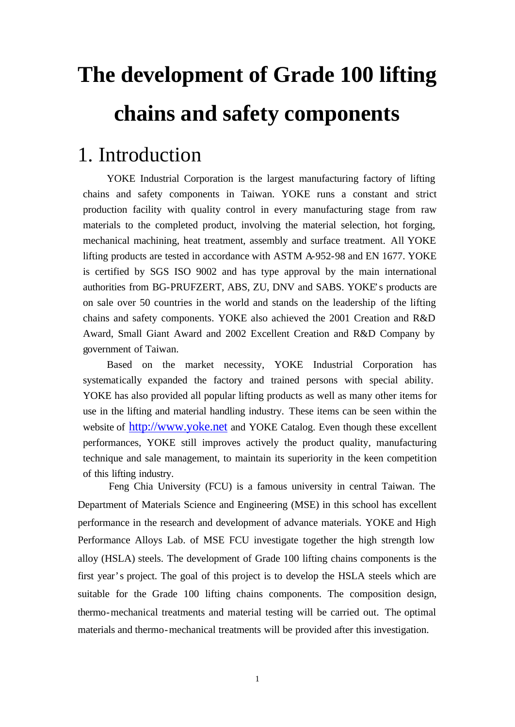# **The development of Grade 100 lifting chains and safety components**

#### 1. Introduction

YOKE Industrial Corporation is the largest manufacturing factory of lifting chains and safety components in Taiwan. YOKE runs a constant and strict production facility with quality control in every manufacturing stage from raw materials to the completed product, involving the material selection, hot forging, mechanical machining, heat treatment, assembly and surface treatment. All YOKE lifting products are tested in accordance with ASTM A-952-98 and EN 1677. YOKE is certified by SGS ISO 9002 and has type approval by the main international authorities from BG-PRUFZERT, ABS, ZU, DNV and SABS. YOKE's products are on sale over 50 countries in the world and stands on the leadership of the lifting chains and safety components. YOKE also achieved the 2001 Creation and R&D Award, Small Giant Award and 2002 Excellent Creation and R&D Company by government of Taiwan.

Based on the market necessity, YOKE Industrial Corporation has systematically expanded the factory and trained persons with special ability. YOKE has also provided all popular lifting products as well as many other items for use in the lifting and material handling industry. These items can be seen within the website of http://www.yoke.net and YOKE Catalog. Even though these excellent performances, YOKE still improves actively the product quality, manufacturing technique and sale management, to maintain its superiority in the keen competition of this lifting industry.

Feng Chia University (FCU) is a famous university in central Taiwan. The Department of Materials Science and Engineering (MSE) in this school has excellent performance in the research and development of advance materials. YOKE and High Performance Alloys Lab. of MSE FCU investigate together the high strength low alloy (HSLA) steels. The development of Grade 100 lifting chains components is the first year's project. The goal of this project is to develop the HSLA steels which are suitable for the Grade 100 lifting chains components. The composition design, thermo-mechanical treatments and material testing will be carried out. The optimal materials and thermo-mechanical treatments will be provided after this investigation.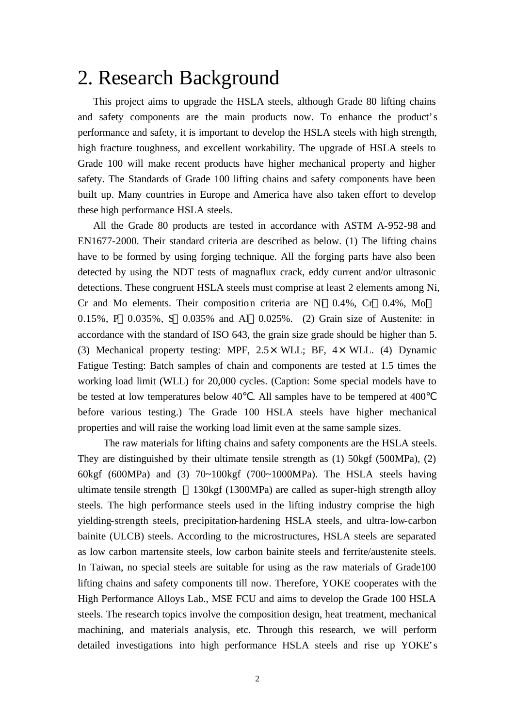#### 2. Research Background

This project aims to upgrade the HSLA steels, although Grade 80 lifting chains and safety components are the main products now. To enhance the product's performance and safety, it is important to develop the HSLA steels with high strength, high fracture toughness, and excellent workability. The upgrade of HSLA steels to Grade 100 will make recent products have higher mechanical property and higher safety. The Standards of Grade 100 lifting chains and safety components have been built up. Many countries in Europe and America have also taken effort to develop these high performance HSLA steels.

All the Grade 80 products are tested in accordance with ASTM A-952-98 and EN1677-2000. Their standard criteria are described as below. (1) The lifting chains have to be formed by using forging technique. All the forging parts have also been detected by using the NDT tests of magnaflux crack, eddy current and/or ultrasonic detections. These congruent HSLA steels must comprise at least 2 elements among Ni, Cr and Mo elements. Their composition criteria are Ni 0.4%, Cr 0.4%, Mo 0.15%, P 0.035%, S 0.035% and Al 0.025%. (2) Grain size of Austenite: in accordance with the standard of ISO 643, the grain size grade should be higher than 5. (3) Mechanical property testing: MPF,  $2.5 \times WLL$ ; BF,  $4 \times WLL$ . (4) Dynamic Fatigue Testing: Batch samples of chain and components are tested at 1.5 times the working load limit (WLL) for 20,000 cycles. (Caption: Some special models have to be tested at low temperatures below 40 . All samples have to be tempered at 400 before various testing.) The Grade 100 HSLA steels have higher mechanical properties and will raise the working load limit even at the same sample sizes.

The raw materials for lifting chains and safety components are the HSLA steels. They are distinguished by their ultimate tensile strength as (1) 50kgf (500MPa), (2) 60kgf (600MPa) and (3) 70~100kgf (700~1000MPa). The HSLA steels having ultimate tensile strength 130kgf (1300MPa) are called as super-high strength alloy steels. The high performance steels used in the lifting industry comprise the high yielding-strength steels, precipitation-hardening HSLA steels, and ultra-low-carbon bainite (ULCB) steels. According to the microstructures, HSLA steels are separated as low carbon martensite steels, low carbon bainite steels and ferrite/austenite steels. In Taiwan, no special steels are suitable for using as the raw materials of Grade100 lifting chains and safety components till now. Therefore, YOKE cooperates with the High Performance Alloys Lab., MSE FCU and aims to develop the Grade 100 HSLA steels. The research topics involve the composition design, heat treatment, mechanical machining, and materials analysis, etc. Through this research, we will perform detailed investigations into high performance HSLA steels and rise up YOKE's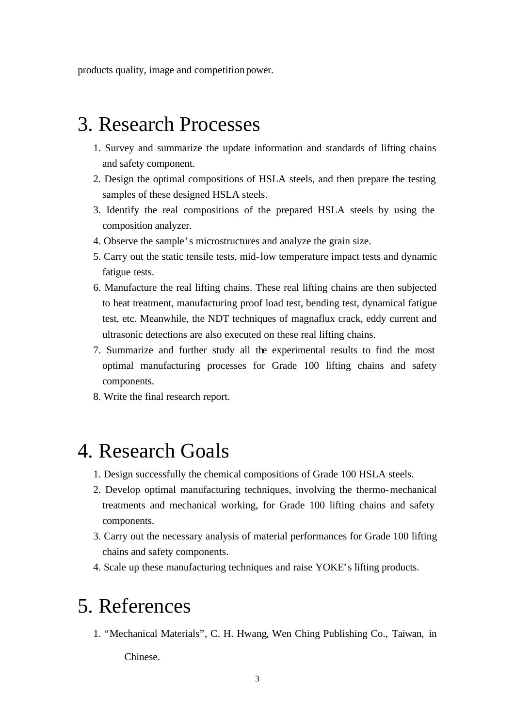products quality, image and competition power.

## 3. Research Processes

- 1. Survey and summarize the update information and standards of lifting chains and safety component.
- 2. Design the optimal compositions of HSLA steels, and then prepare the testing samples of these designed HSLA steels.
- 3. Identify the real compositions of the prepared HSLA steels by using the composition analyzer.
- 4. Observe the sample's microstructures and analyze the grain size.
- 5. Carry out the static tensile tests, mid-low temperature impact tests and dynamic fatigue tests.
- 6. Manufacture the real lifting chains. These real lifting chains are then subjected to heat treatment, manufacturing proof load test, bending test, dynamical fatigue test, etc. Meanwhile, the NDT techniques of magnaflux crack, eddy current and ultrasonic detections are also executed on these real lifting chains.
- 7. Summarize and further study all the experimental results to find the most optimal manufacturing processes for Grade 100 lifting chains and safety components.
- 8. Write the final research report.

### 4. Research Goals

- 1. Design successfully the chemical compositions of Grade 100 HSLA steels.
- 2. Develop optimal manufacturing techniques, involving the thermo-mechanical treatments and mechanical working, for Grade 100 lifting chains and safety components.
- 3. Carry out the necessary analysis of material performances for Grade 100 lifting chains and safety components.
- 4. Scale up these manufacturing techniques and raise YOKE's lifting products.

## 5. References

1. "Mechanical Materials", C. H. Hwang, Wen Ching Publishing Co., Taiwan, in

Chinese.